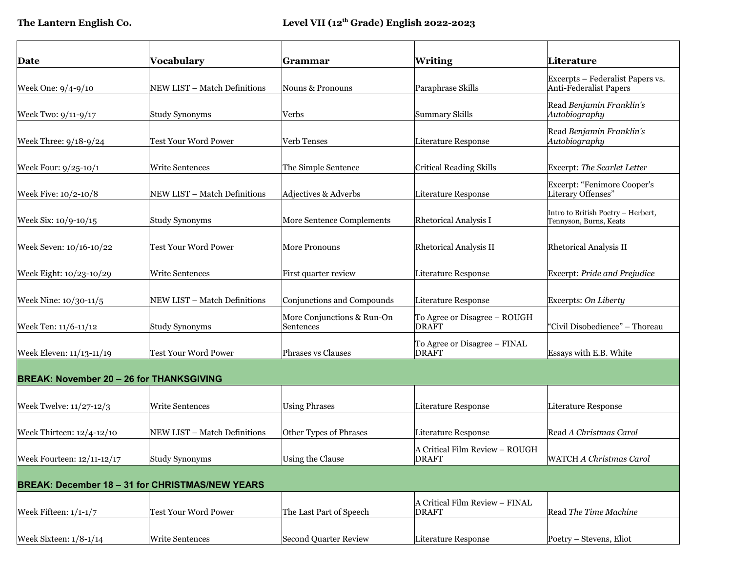| Date                                            | Vocabulary                                             | <b>Grammar</b>                          | <b>Writing</b>                                 | Literature                                                   |
|-------------------------------------------------|--------------------------------------------------------|-----------------------------------------|------------------------------------------------|--------------------------------------------------------------|
| Week One: 9/4-9/10                              | NEW LIST - Match Definitions                           | Nouns & Pronouns                        | Paraphrase Skills                              | Excerpts - Federalist Papers vs.<br>Anti-Federalist Papers   |
| Week Two: 9/11-9/17                             | <b>Study Synonyms</b>                                  | Verbs                                   | <b>Summary Skills</b>                          | Read Benjamin Franklin's<br>Autobiography                    |
| Week Three: 9/18-9/24                           | Test Your Word Power                                   | Verb Tenses                             | Literature Response                            | Read Benjamin Franklin's<br>Autobiography                    |
| Week Four: $9/25-10/1$                          | Write Sentences                                        | The Simple Sentence                     | <b>Critical Reading Skills</b>                 | Excerpt: The Scarlet Letter                                  |
| Week Five: 10/2-10/8                            | NEW LIST - Match Definitions                           | Adjectives & Adverbs                    | <b>Literature Response</b>                     | Excerpt: "Fenimore Cooper's<br>Literary Offenses"            |
| Week Six: 10/9-10/15                            | Study Synonyms                                         | More Sentence Complements               | <b>Rhetorical Analysis I</b>                   | Intro to British Poetry - Herbert,<br>Tennyson, Burns, Keats |
| Week Seven: 10/16-10/22                         | <b>Test Your Word Power</b>                            | More Pronouns                           | <b>Rhetorical Analysis II</b>                  | <b>Rhetorical Analysis II</b>                                |
| Week Eight: 10/23-10/29                         | <b>Write Sentences</b>                                 | First quarter review                    | <b>Literature Response</b>                     | Excerpt: Pride and Prejudice                                 |
| Week Nine: 10/30-11/5                           | NEW LIST – Match Definitions                           | Conjunctions and Compounds              | <b>Literature Response</b>                     | Excerpts: On Liberty                                         |
| Week Ten: 11/6-11/12                            | Study Synonyms                                         | More Conjunctions & Run-On<br>Sentences | To Agree or Disagree - ROUGH<br><b>DRAFT</b>   | "Civil Disobedience" - Thoreau                               |
| Week Eleven: 11/13-11/19                        | <b>Test Your Word Power</b>                            | <b>Phrases vs Clauses</b>               | To Agree or Disagree - FINAL<br><b>DRAFT</b>   | Essays with E.B. White                                       |
| <b>BREAK: November 20 - 26 for THANKSGIVING</b> |                                                        |                                         |                                                |                                                              |
| Week Twelve: $11/27-12/3$                       | <b>Write Sentences</b>                                 | <b>Using Phrases</b>                    | <b>Literature Response</b>                     | Literature Response                                          |
| Week Thirteen: 12/4-12/10                       | NEW LIST - Match Definitions                           | Other Types of Phrases                  | <b>Literature Response</b>                     | Read A Christmas Carol                                       |
| Week Fourteen: 12/11-12/17                      | Study Synonyms                                         | Using the Clause                        | A Critical Film Review – ROUGH<br><b>DRAFT</b> | WATCH A Christmas Carol                                      |
|                                                 | <b>BREAK: December 18 - 31 for CHRISTMAS/NEW YEARS</b> |                                         |                                                |                                                              |
| Week Fifteen: $1/1-1/7$                         | Test Your Word Power                                   | The Last Part of Speech                 | A Critical Film Review - FINAL<br><b>DRAFT</b> | Read The Time Machine                                        |
| Week Sixteen: $1/8-1/14$                        | Write Sentences                                        | Second Quarter Review                   | Literature Response                            | Poetry - Stevens, Eliot                                      |